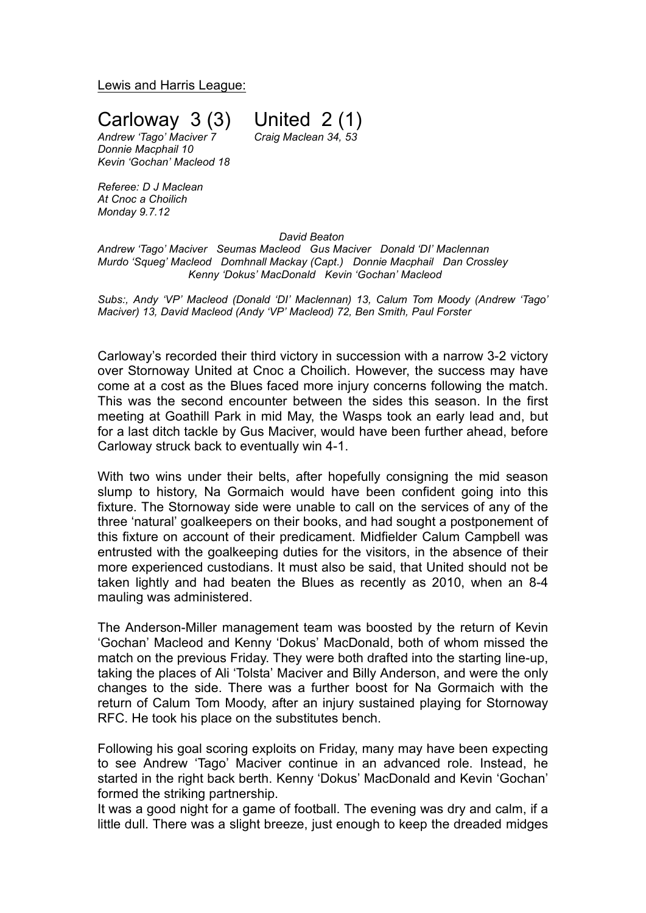Lewis and Harris League:

**Carloway 3 (3)** United  $2(1)$ <br>Andrew Tago' Maciver 7 Craig Maclean 34, 53

*Andrew 'Tago' Maciver 7 Craig Maclean 34, 53 Donnie Macphail 10 Kevin 'Gochan' Macleod 18*

*Referee: D J Maclean At Cnoc a Choilich Monday 9.7.12*

## *David Beaton*

*Andrew 'Tago' Maciver Seumas Macleod Gus Maciver Donald 'DI' Maclennan Murdo 'Squeg' Macleod Domhnall Mackay (Capt.) Donnie Macphail Dan Crossley Kenny 'Dokus' MacDonald Kevin 'Gochan' Macleod*

*Subs:, Andy 'VP' Macleod (Donald 'DI' Maclennan) 13, Calum Tom Moody (Andrew 'Tago' Maciver) 13, David Macleod (Andy 'VP' Macleod) 72, Ben Smith, Paul Forster*

Carloway's recorded their third victory in succession with a narrow 3-2 victory over Stornoway United at Cnoc a Choilich. However, the success may have come at a cost as the Blues faced more injury concerns following the match. This was the second encounter between the sides this season. In the first meeting at Goathill Park in mid May, the Wasps took an early lead and, but for a last ditch tackle by Gus Maciver, would have been further ahead, before Carloway struck back to eventually win 4-1.

With two wins under their belts, after hopefully consigning the mid season slump to history, Na Gormaich would have been confident going into this fixture. The Stornoway side were unable to call on the services of any of the three 'natural' goalkeepers on their books, and had sought a postponement of this fixture on account of their predicament. Midfielder Calum Campbell was entrusted with the goalkeeping duties for the visitors, in the absence of their more experienced custodians. It must also be said, that United should not be taken lightly and had beaten the Blues as recently as 2010, when an 8-4 mauling was administered.

The Anderson-Miller management team was boosted by the return of Kevin 'Gochan' Macleod and Kenny 'Dokus' MacDonald, both of whom missed the match on the previous Friday. They were both drafted into the starting line-up, taking the places of Ali 'Tolsta' Maciver and Billy Anderson, and were the only changes to the side. There was a further boost for Na Gormaich with the return of Calum Tom Moody, after an injury sustained playing for Stornoway RFC. He took his place on the substitutes bench.

Following his goal scoring exploits on Friday, many may have been expecting to see Andrew 'Tago' Maciver continue in an advanced role. Instead, he started in the right back berth. Kenny 'Dokus' MacDonald and Kevin 'Gochan' formed the striking partnership.

It was a good night for a game of football. The evening was dry and calm, if a little dull. There was a slight breeze, just enough to keep the dreaded midges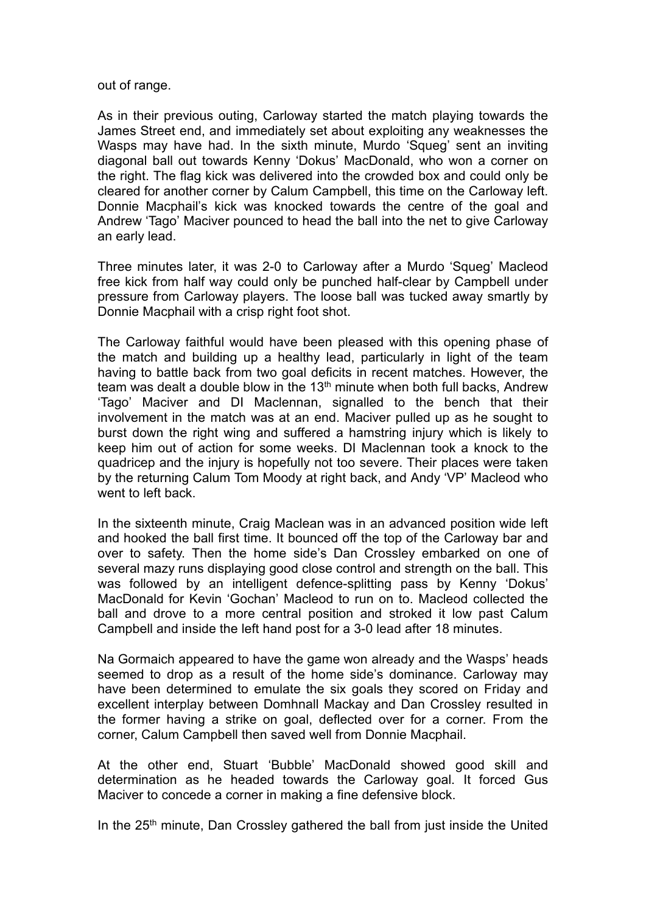out of range.

As in their previous outing, Carloway started the match playing towards the James Street end, and immediately set about exploiting any weaknesses the Wasps may have had. In the sixth minute, Murdo 'Squeg' sent an inviting diagonal ball out towards Kenny 'Dokus' MacDonald, who won a corner on the right. The flag kick was delivered into the crowded box and could only be cleared for another corner by Calum Campbell, this time on the Carloway left. Donnie Macphail's kick was knocked towards the centre of the goal and Andrew 'Tago' Maciver pounced to head the ball into the net to give Carloway an early lead.

Three minutes later, it was 2-0 to Carloway after a Murdo 'Squeg' Macleod free kick from half way could only be punched half-clear by Campbell under pressure from Carloway players. The loose ball was tucked away smartly by Donnie Macphail with a crisp right foot shot.

The Carloway faithful would have been pleased with this opening phase of the match and building up a healthy lead, particularly in light of the team having to battle back from two goal deficits in recent matches. However, the team was dealt a double blow in the  $13<sup>th</sup>$  minute when both full backs. Andrew 'Tago' Maciver and DI Maclennan, signalled to the bench that their involvement in the match was at an end. Maciver pulled up as he sought to burst down the right wing and suffered a hamstring injury which is likely to keep him out of action for some weeks. DI Maclennan took a knock to the quadricep and the injury is hopefully not too severe. Their places were taken by the returning Calum Tom Moody at right back, and Andy 'VP' Macleod who went to left back.

In the sixteenth minute, Craig Maclean was in an advanced position wide left and hooked the ball first time. It bounced off the top of the Carloway bar and over to safety. Then the home side's Dan Crossley embarked on one of several mazy runs displaying good close control and strength on the ball. This was followed by an intelligent defence-splitting pass by Kenny 'Dokus' MacDonald for Kevin 'Gochan' Macleod to run on to. Macleod collected the ball and drove to a more central position and stroked it low past Calum Campbell and inside the left hand post for a 3-0 lead after 18 minutes.

Na Gormaich appeared to have the game won already and the Wasps' heads seemed to drop as a result of the home side's dominance. Carloway may have been determined to emulate the six goals they scored on Friday and excellent interplay between Domhnall Mackay and Dan Crossley resulted in the former having a strike on goal, deflected over for a corner. From the corner, Calum Campbell then saved well from Donnie Macphail.

At the other end, Stuart 'Bubble' MacDonald showed good skill and determination as he headed towards the Carloway goal. It forced Gus Maciver to concede a corner in making a fine defensive block.

In the 25<sup>th</sup> minute, Dan Crossley gathered the ball from just inside the United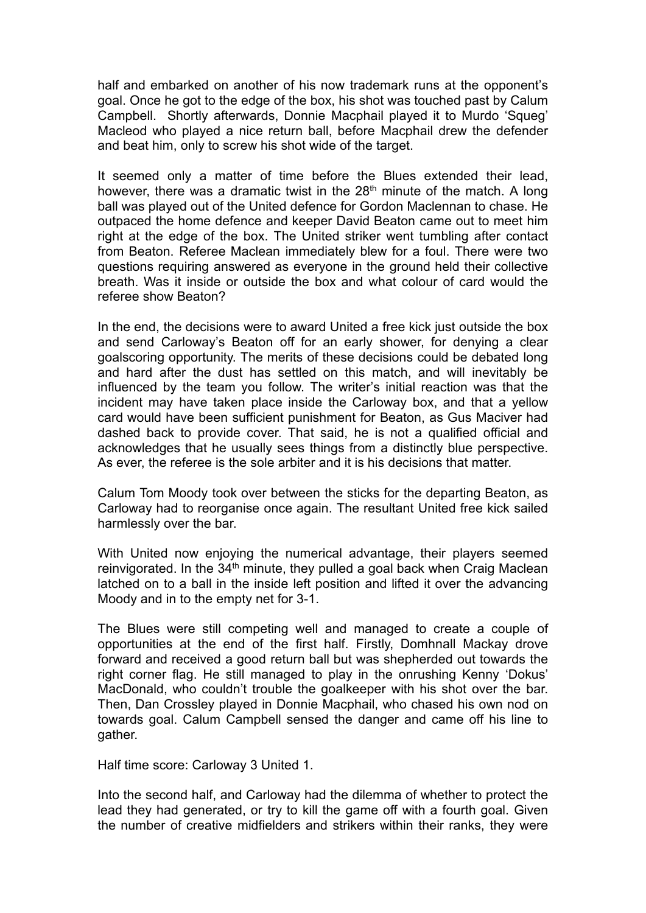half and embarked on another of his now trademark runs at the opponent's goal. Once he got to the edge of the box, his shot was touched past by Calum Campbell. Shortly afterwards, Donnie Macphail played it to Murdo 'Squeg' Macleod who played a nice return ball, before Macphail drew the defender and beat him, only to screw his shot wide of the target.

It seemed only a matter of time before the Blues extended their lead, however, there was a dramatic twist in the  $28<sup>th</sup>$  minute of the match. A long ball was played out of the United defence for Gordon Maclennan to chase. He outpaced the home defence and keeper David Beaton came out to meet him right at the edge of the box. The United striker went tumbling after contact from Beaton. Referee Maclean immediately blew for a foul. There were two questions requiring answered as everyone in the ground held their collective breath. Was it inside or outside the box and what colour of card would the referee show Beaton?

In the end, the decisions were to award United a free kick just outside the box and send Carloway's Beaton off for an early shower, for denying a clear goalscoring opportunity. The merits of these decisions could be debated long and hard after the dust has settled on this match, and will inevitably be influenced by the team you follow. The writer's initial reaction was that the incident may have taken place inside the Carloway box, and that a yellow card would have been sufficient punishment for Beaton, as Gus Maciver had dashed back to provide cover. That said, he is not a qualified official and acknowledges that he usually sees things from a distinctly blue perspective. As ever, the referee is the sole arbiter and it is his decisions that matter.

Calum Tom Moody took over between the sticks for the departing Beaton, as Carloway had to reorganise once again. The resultant United free kick sailed harmlessly over the bar.

With United now enjoying the numerical advantage, their players seemed reinvigorated. In the 34<sup>th</sup> minute, they pulled a goal back when Craig Maclean latched on to a ball in the inside left position and lifted it over the advancing Moody and in to the empty net for 3-1.

The Blues were still competing well and managed to create a couple of opportunities at the end of the first half. Firstly, Domhnall Mackay drove forward and received a good return ball but was shepherded out towards the right corner flag. He still managed to play in the onrushing Kenny 'Dokus' MacDonald, who couldn't trouble the goalkeeper with his shot over the bar. Then, Dan Crossley played in Donnie Macphail, who chased his own nod on towards goal. Calum Campbell sensed the danger and came off his line to gather.

Half time score: Carloway 3 United 1.

Into the second half, and Carloway had the dilemma of whether to protect the lead they had generated, or try to kill the game off with a fourth goal. Given the number of creative midfielders and strikers within their ranks, they were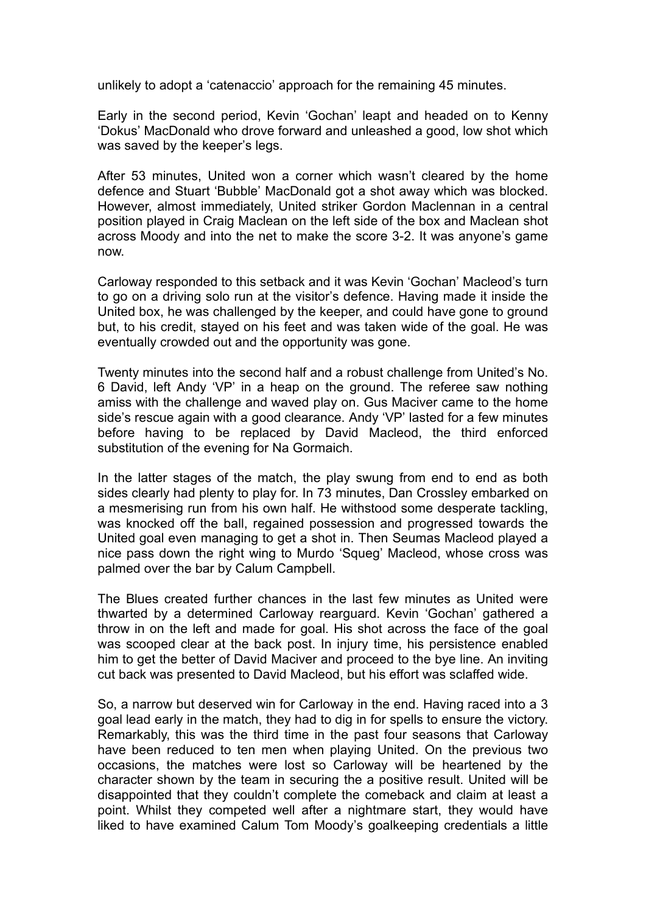unlikely to adopt a 'catenaccio' approach for the remaining 45 minutes.

Early in the second period, Kevin 'Gochan' leapt and headed on to Kenny 'Dokus' MacDonald who drove forward and unleashed a good, low shot which was saved by the keeper's legs.

After 53 minutes, United won a corner which wasn't cleared by the home defence and Stuart 'Bubble' MacDonald got a shot away which was blocked. However, almost immediately, United striker Gordon Maclennan in a central position played in Craig Maclean on the left side of the box and Maclean shot across Moody and into the net to make the score 3-2. It was anyone's game now.

Carloway responded to this setback and it was Kevin 'Gochan' Macleod's turn to go on a driving solo run at the visitor's defence. Having made it inside the United box, he was challenged by the keeper, and could have gone to ground but, to his credit, stayed on his feet and was taken wide of the goal. He was eventually crowded out and the opportunity was gone.

Twenty minutes into the second half and a robust challenge from United's No. 6 David, left Andy 'VP' in a heap on the ground. The referee saw nothing amiss with the challenge and waved play on. Gus Maciver came to the home side's rescue again with a good clearance. Andy 'VP' lasted for a few minutes before having to be replaced by David Macleod, the third enforced substitution of the evening for Na Gormaich.

In the latter stages of the match, the play swung from end to end as both sides clearly had plenty to play for. In 73 minutes, Dan Crossley embarked on a mesmerising run from his own half. He withstood some desperate tackling, was knocked off the ball, regained possession and progressed towards the United goal even managing to get a shot in. Then Seumas Macleod played a nice pass down the right wing to Murdo 'Squeg' Macleod, whose cross was palmed over the bar by Calum Campbell.

The Blues created further chances in the last few minutes as United were thwarted by a determined Carloway rearguard. Kevin 'Gochan' gathered a throw in on the left and made for goal. His shot across the face of the goal was scooped clear at the back post. In injury time, his persistence enabled him to get the better of David Maciver and proceed to the bye line. An inviting cut back was presented to David Macleod, but his effort was sclaffed wide.

So, a narrow but deserved win for Carloway in the end. Having raced into a 3 goal lead early in the match, they had to dig in for spells to ensure the victory. Remarkably, this was the third time in the past four seasons that Carloway have been reduced to ten men when playing United. On the previous two occasions, the matches were lost so Carloway will be heartened by the character shown by the team in securing the a positive result. United will be disappointed that they couldn't complete the comeback and claim at least a point. Whilst they competed well after a nightmare start, they would have liked to have examined Calum Tom Moody's goalkeeping credentials a little